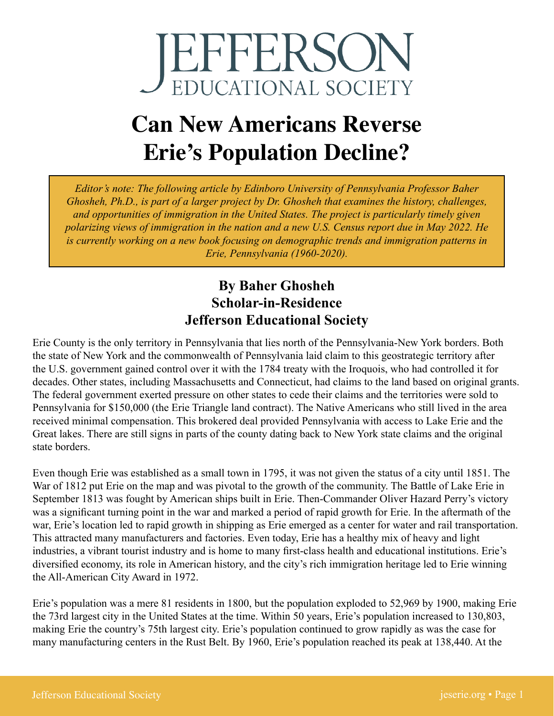

## **Can New Americans Reverse Erie's Population Decline?**

*Editor's note: The following article by Edinboro University of Pennsylvania Professor Baher Ghosheh, Ph.D., is part of a larger project by Dr. Ghosheh that examines the history, challenges, and opportunities of immigration in the United States. The project is particularly timely given polarizing views of immigration in the nation and a new U.S. Census report due in May 2022. He is currently working on a new book focusing on demographic trends and immigration patterns in Erie, Pennsylvania (1960-2020).*

## **By Baher Ghosheh Scholar-in-Residence Jefferson Educational Society**

Erie County is the only territory in Pennsylvania that lies north of the Pennsylvania-New York borders. Both the state of New York and the commonwealth of Pennsylvania laid claim to this geostrategic territory after the U.S. government gained control over it with the 1784 treaty with the Iroquois, who had controlled it for decades. Other states, including Massachusetts and Connecticut, had claims to the land based on original grants. The federal government exerted pressure on other states to cede their claims and the territories were sold to Pennsylvania for \$150,000 (the Erie Triangle land contract). The Native Americans who still lived in the area received minimal compensation. This brokered deal provided Pennsylvania with access to Lake Erie and the Great lakes. There are still signs in parts of the county dating back to New York state claims and the original state borders.

Even though Erie was established as a small town in 1795, it was not given the status of a city until 1851. The War of 1812 put Erie on the map and was pivotal to the growth of the community. The Battle of Lake Erie in September 1813 was fought by American ships built in Erie. Then-Commander Oliver Hazard Perry's victory was a significant turning point in the war and marked a period of rapid growth for Erie. In the aftermath of the war, Erie's location led to rapid growth in shipping as Erie emerged as a center for water and rail transportation. This attracted many manufacturers and factories. Even today, Erie has a healthy mix of heavy and light industries, a vibrant tourist industry and is home to many first-class health and educational institutions. Erie's diversified economy, its role in American history, and the city's rich immigration heritage led to Erie winning the All-American City Award in 1972.

Erie's population was a mere 81 residents in 1800, but the population exploded to 52,969 by 1900, making Erie the 73rd largest city in the United States at the time. Within 50 years, Erie's population increased to 130,803, making Erie the country's 75th largest city. Erie's population continued to grow rapidly as was the case for many manufacturing centers in the Rust Belt. By 1960, Erie's population reached its peak at 138,440. At the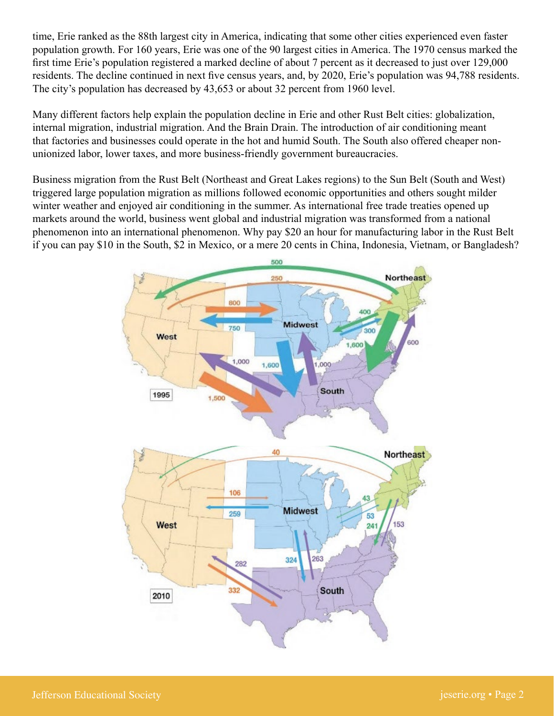time, Erie ranked as the 88th largest city in America, indicating that some other cities experienced even faster population growth. For 160 years, Erie was one of the 90 largest cities in America. The 1970 census marked the first time Erie's population registered a marked decline of about 7 percent as it decreased to just over 129,000 residents. The decline continued in next five census years, and, by 2020, Erie's population was 94,788 residents. The city's population has decreased by 43,653 or about 32 percent from 1960 level.

Many different factors help explain the population decline in Erie and other Rust Belt cities: globalization, internal migration, industrial migration. And the Brain Drain. The introduction of air conditioning meant that factories and businesses could operate in the hot and humid South. The South also offered cheaper nonunionized labor, lower taxes, and more business-friendly government bureaucracies.

Business migration from the Rust Belt (Northeast and Great Lakes regions) to the Sun Belt (South and West) triggered large population migration as millions followed economic opportunities and others sought milder winter weather and enjoyed air conditioning in the summer. As international free trade treaties opened up markets around the world, business went global and industrial migration was transformed from a national phenomenon into an international phenomenon. Why pay \$20 an hour for manufacturing labor in the Rust Belt if you can pay \$10 in the South, \$2 in Mexico, or a mere 20 cents in China, Indonesia, Vietnam, or Bangladesh?

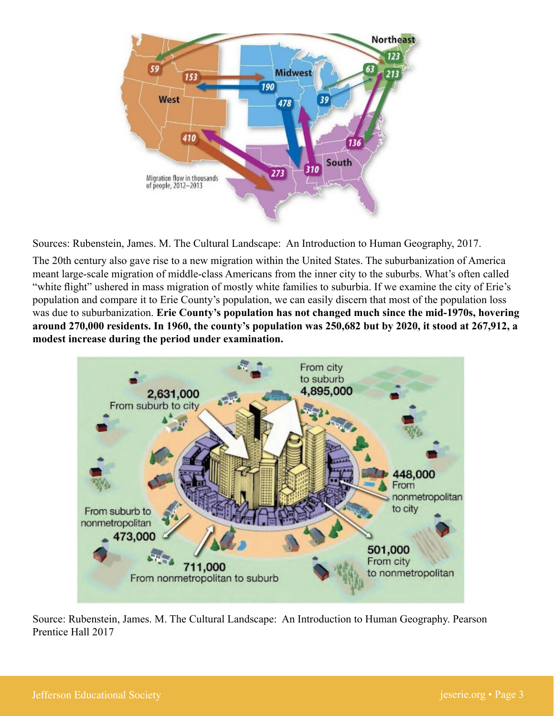

Sources: Rubenstein, James. M. The Cultural Landscape: An Introduction to Human Geography, 2017.

The 20th century also gave rise to a new migration within the United States. The suburbanization of America meant large-scale migration of middle-class Americans from the inner city to the suburbs. What's often called "white flight" ushered in mass migration of mostly white families to suburbia. If we examine the city of Erie's population and compare it to Erie County's population, we can easily discern that most of the population loss was due to suburbanization. **Erie County's population has not changed much since the mid-1970s, hovering around 270,000 residents. In 1960, the county's population was 250,682 but by 2020, it stood at 267,912, a modest increase during the period under examination.**



Source: Rubenstein, James. M. The Cultural Landscape: An Introduction to Human Geography. Pearson Prentice Hall 2017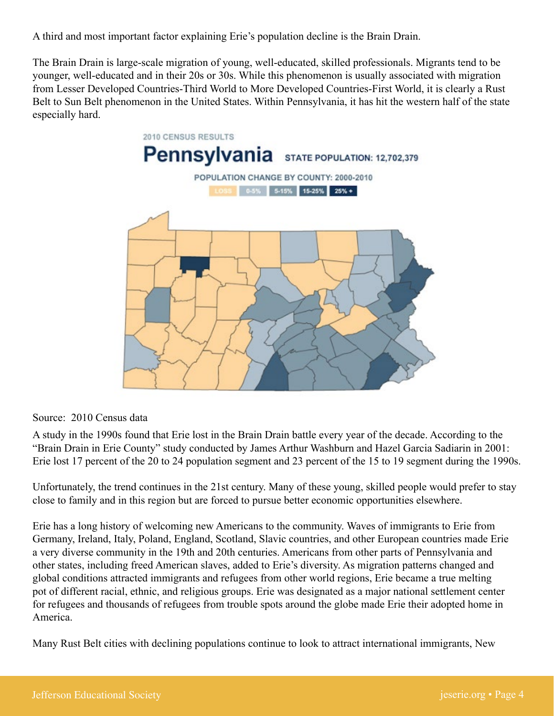A third and most important factor explaining Erie's population decline is the Brain Drain.

The Brain Drain is large-scale migration of young, well-educated, skilled professionals. Migrants tend to be younger, well-educated and in their 20s or 30s. While this phenomenon is usually associated with migration from Lesser Developed Countries-Third World to More Developed Countries-First World, it is clearly a Rust Belt to Sun Belt phenomenon in the United States. Within Pennsylvania, it has hit the western half of the state especially hard.



Source: 2010 Census data

A study in the 1990s found that Erie lost in the Brain Drain battle every year of the decade. According to the "Brain Drain in Erie County" study conducted by James Arthur Washburn and Hazel Garcia Sadiarin in 2001: Erie lost 17 percent of the 20 to 24 population segment and 23 percent of the 15 to 19 segment during the 1990s.

Unfortunately, the trend continues in the 21st century. Many of these young, skilled people would prefer to stay close to family and in this region but are forced to pursue better economic opportunities elsewhere.

Erie has a long history of welcoming new Americans to the community. Waves of immigrants to Erie from Germany, Ireland, Italy, Poland, England, Scotland, Slavic countries, and other European countries made Erie a very diverse community in the 19th and 20th centuries. Americans from other parts of Pennsylvania and other states, including freed American slaves, added to Erie's diversity. As migration patterns changed and global conditions attracted immigrants and refugees from other world regions, Erie became a true melting pot of different racial, ethnic, and religious groups. Erie was designated as a major national settlement center for refugees and thousands of refugees from trouble spots around the globe made Erie their adopted home in America.

Many Rust Belt cities with declining populations continue to look to attract international immigrants, New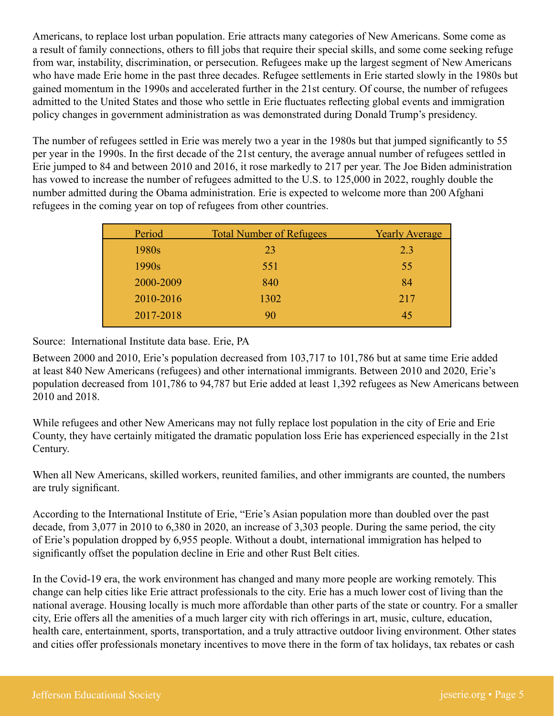Americans, to replace lost urban population. Erie attracts many categories of New Americans. Some come as a result of family connections, others to fill jobs that require their special skills, and some come seeking refuge from war, instability, discrimination, or persecution. Refugees make up the largest segment of New Americans who have made Erie home in the past three decades. Refugee settlements in Erie started slowly in the 1980s but gained momentum in the 1990s and accelerated further in the 21st century. Of course, the number of refugees admitted to the United States and those who settle in Erie fluctuates reflecting global events and immigration policy changes in government administration as was demonstrated during Donald Trump's presidency.

The number of refugees settled in Erie was merely two a year in the 1980s but that jumped significantly to 55 per year in the 1990s. In the first decade of the 21st century, the average annual number of refugees settled in Erie jumped to 84 and between 2010 and 2016, it rose markedly to 217 per year. The Joe Biden administration has vowed to increase the number of refugees admitted to the U.S. to 125,000 in 2022, roughly double the number admitted during the Obama administration. Erie is expected to welcome more than 200 Afghani refugees in the coming year on top of refugees from other countries.

| Period    | <b>Total Number of Refugees</b> | <b>Yearly Average</b> |
|-----------|---------------------------------|-----------------------|
| 1980s     | 23                              | 2.3                   |
| 1990s     | 551                             | 55                    |
| 2000-2009 | 840                             | 84                    |
| 2010-2016 | 1302                            | 217                   |
| 2017-2018 | 90                              | 45                    |
|           |                                 |                       |

Source: International Institute data base. Erie, PA

Between 2000 and 2010, Erie's population decreased from 103,717 to 101,786 but at same time Erie added at least 840 New Americans (refugees) and other international immigrants. Between 2010 and 2020, Erie's population decreased from 101,786 to 94,787 but Erie added at least 1,392 refugees as New Americans between 2010 and 2018.

While refugees and other New Americans may not fully replace lost population in the city of Erie and Erie County, they have certainly mitigated the dramatic population loss Erie has experienced especially in the 21st Century.

When all New Americans, skilled workers, reunited families, and other immigrants are counted, the numbers are truly significant.

According to the International Institute of Erie, "Erie's Asian population more than doubled over the past decade, from 3,077 in 2010 to 6,380 in 2020, an increase of 3,303 people. During the same period, the city of Erie's population dropped by 6,955 people. Without a doubt, international immigration has helped to significantly offset the population decline in Erie and other Rust Belt cities.

In the Covid-19 era, the work environment has changed and many more people are working remotely. This change can help cities like Erie attract professionals to the city. Erie has a much lower cost of living than the national average. Housing locally is much more affordable than other parts of the state or country. For a smaller city, Erie offers all the amenities of a much larger city with rich offerings in art, music, culture, education, health care, entertainment, sports, transportation, and a truly attractive outdoor living environment. Other states and cities offer professionals monetary incentives to move there in the form of tax holidays, tax rebates or cash